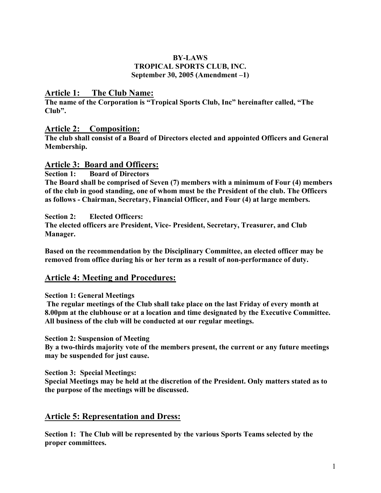#### BY-LAWS TROPICAL SPORTS CLUB, INC. September 30, 2005 (Amendment –1)

### Article 1: The Club Name:

The name of the Corporation is "Tropical Sports Club, Inc" hereinafter called, "The Club".

### Article 2: Composition:

The club shall consist of a Board of Directors elected and appointed Officers and General Membership.

#### Article 3: Board and Officers:

Section 1: Board of Directors The Board shall be comprised of Seven (7) members with a minimum of Four (4) members of the club in good standing, one of whom must be the President of the club. The Officers as follows - Chairman, Secretary, Financial Officer, and Four (4) at large members.

Section 2: Elected Officers:

The elected officers are President, Vice- President, Secretary, Treasurer, and Club Manager.

Based on the recommendation by the Disciplinary Committee, an elected officer may be removed from office during his or her term as a result of non-performance of duty.

### Article 4: Meeting and Procedures:

#### Section 1: General Meetings

The regular meetings of the Club shall take place on the last Friday of every month at 8.00pm at the clubhouse or at a location and time designated by the Executive Committee. All business of the club will be conducted at our regular meetings.

Section 2: Suspension of Meeting

By a two-thirds majority vote of the members present, the current or any future meetings may be suspended for just cause.

Section 3: Special Meetings:

Special Meetings may be held at the discretion of the President. Only matters stated as to the purpose of the meetings will be discussed.

### Article 5: Representation and Dress:

Section 1: The Club will be represented by the various Sports Teams selected by the proper committees.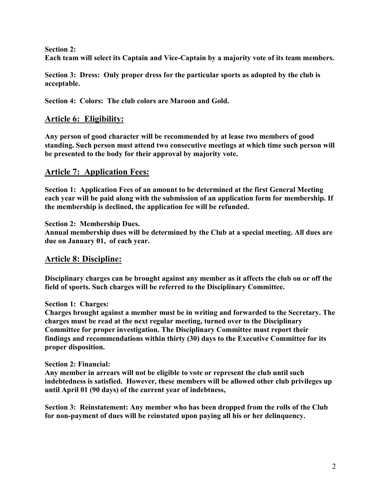Section 2:

Each team will select its Captain and Vice-Captain by a majority vote of its team members.

Section 3: Dress: Only proper dress for the particular sports as adopted by the club is acceptable.

Section 4: Colors: The club colors are Maroon and Gold.

### Article 6: Eligibility:

Any person of good character will be recommended by at lease two members of good standing. Such person must attend two consecutive meetings at which time such person will be presented to the body for their approval by majority vote.

### Article 7: Application Fees:

Section 1: Application Fees of an amount to be determined at the first General Meeting each year will be paid along with the submission of an application form for membership. If the membership is declined, the application fee will be refunded.

Section 2: Membership Dues. Annual membership dues will be determined by the Club at a special meeting. All dues are due on January 01, of each year.

### Article 8: Discipline:

Disciplinary charges can be brought against any member as it affects the club on or off the field of sports. Such charges will be referred to the Disciplinary Committee.

#### Section 1: Charges:

Charges brought against a member must be in writing and forwarded to the Secretary. The charges must be read at the next regular meeting, turned over to the Disciplinary Committee for proper investigation. The Disciplinary Committee must report their findings and recommendations within thirty (30) days to the Executive Committee for its proper disposition.

#### Section 2: Financial:

Any member in arrears will not be eligible to vote or represent the club until such indebtedness is satisfied. However, these members will be allowed other club privileges up until April 01 (90 days) of the current year of indebtness,

Section 3: Reinstatement: Any member who has been dropped from the rolls of the Club for non-payment of dues will be reinstated upon paying all his or her delinquency.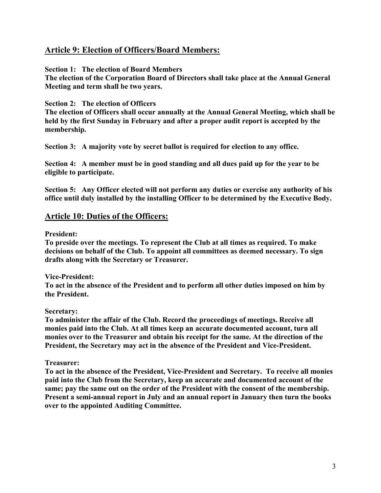### Article 9: Election of Officers/Board Members:

Section 1: The election of Board Members

The election of the Corporation Board of Directors shall take place at the Annual General Meeting and term shall be two years.

#### Section 2: The election of Officers

The election of Officers shall occur annually at the Annual General Meeting, which shall be held by the first Sunday in February and after a proper audit report is accepted by the membership.

Section 3: A majority vote by secret ballot is required for election to any office.

Section 4: A member must be in good standing and all dues paid up for the year to be eligible to participate.

Section 5: Any Officer elected will not perform any duties or exercise any authority of his office until duly installed by the installing Officer to be determined by the Executive Body.

### Article 10: Duties of the Officers:

#### President:

To preside over the meetings. To represent the Club at all times as required. To make decisions on behalf of the Club. To appoint all committees as deemed necessary. To sign drafts along with the Secretary or Treasurer.

Vice-President:

To act in the absence of the President and to perform all other duties imposed on him by the President.

#### Secretary:

To administer the affair of the Club. Record the proceedings of meetings. Receive all monies paid into the Club. At all times keep an accurate documented account, turn all monies over to the Treasurer and obtain his receipt for the same. At the direction of the President, the Secretary may act in the absence of the President and Vice-President.

#### Treasurer:

To act in the absence of the President, Vice-President and Secretary. To receive all monies paid into the Club from the Secretary, keep an accurate and documented account of the same; pay the same out on the order of the President with the consent of the membership. Present a semi-annual report in July and an annual report in January then turn the books over to the appointed Auditing Committee.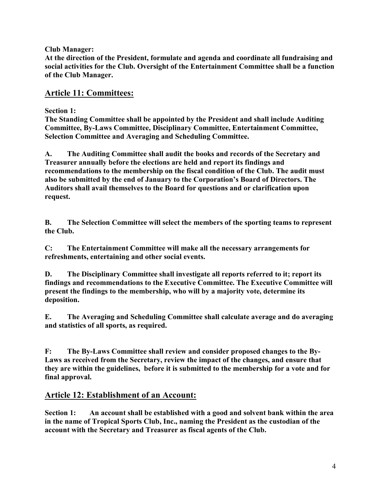Club Manager:

At the direction of the President, formulate and agenda and coordinate all fundraising and social activities for the Club. Oversight of the Entertainment Committee shall be a function of the Club Manager.

## Article 11: Committees:

Section 1:

The Standing Committee shall be appointed by the President and shall include Auditing Committee, By-Laws Committee, Disciplinary Committee, Entertainment Committee, Selection Committee and Averaging and Scheduling Committee.

A. The Auditing Committee shall audit the books and records of the Secretary and Treasurer annually before the elections are held and report its findings and recommendations to the membership on the fiscal condition of the Club. The audit must also be submitted by the end of January to the Corporation's Board of Directors. The Auditors shall avail themselves to the Board for questions and or clarification upon request.

B. The Selection Committee will select the members of the sporting teams to represent the Club.

C: The Entertainment Committee will make all the necessary arrangements for refreshments, entertaining and other social events.

D. The Disciplinary Committee shall investigate all reports referred to it; report its findings and recommendations to the Executive Committee. The Executive Committee will present the findings to the membership, who will by a majority vote, determine its deposition.

E. The Averaging and Scheduling Committee shall calculate average and do averaging and statistics of all sports, as required.

F: The By-Laws Committee shall review and consider proposed changes to the By-Laws as received from the Secretary, review the impact of the changes, and ensure that they are within the guidelines, before it is submitted to the membership for a vote and for final approval.

# Article 12: Establishment of an Account:

Section 1: An account shall be established with a good and solvent bank within the area in the name of Tropical Sports Club, Inc., naming the President as the custodian of the account with the Secretary and Treasurer as fiscal agents of the Club.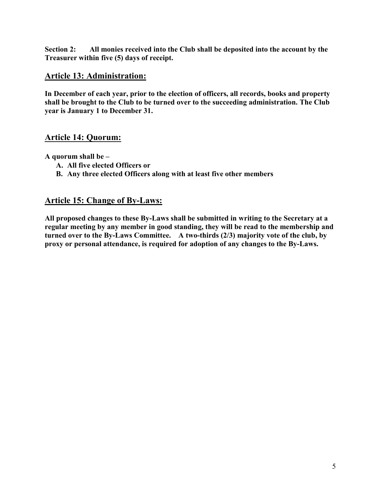Section 2: All monies received into the Club shall be deposited into the account by the Treasurer within five (5) days of receipt.

### Article 13: Administration:

In December of each year, prior to the election of officers, all records, books and property shall be brought to the Club to be turned over to the succeeding administration. The Club year is January 1 to December 31.

### Article 14: Quorum:

A quorum shall be –

- A. All five elected Officers or
- B. Any three elected Officers along with at least five other members

### Article 15: Change of By-Laws:

All proposed changes to these By-Laws shall be submitted in writing to the Secretary at a regular meeting by any member in good standing, they will be read to the membership and turned over to the By-Laws Committee. A two-thirds (2/3) majority vote of the club, by proxy or personal attendance, is required for adoption of any changes to the By-Laws.